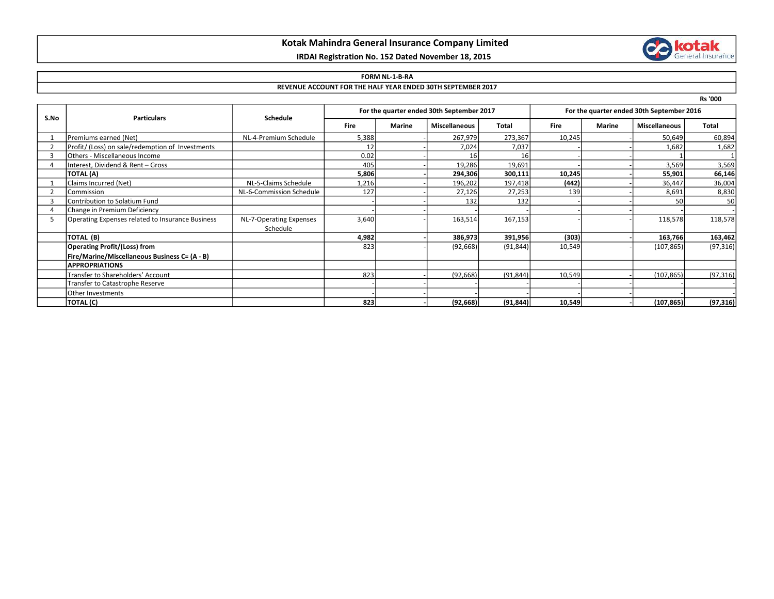## Kotak Mahindra General Insurance Company Limited

# IRDAI Registration No. 152 Dated November 18, 2015

# **Collection**

#### FORM NL-1-B-RA

## REVENUE ACCOUNT FOR THE HALF YEAR ENDED 30TH SEPTEMBER 2017

| ۰. |  |
|----|--|
|----|--|

| S.No | <b>Particulars</b>                               | <b>Schedule</b>          | For the quarter ended 30th September 2017 |               |                      |           | For the quarter ended 30th September 2016 |        |                      |           |
|------|--------------------------------------------------|--------------------------|-------------------------------------------|---------------|----------------------|-----------|-------------------------------------------|--------|----------------------|-----------|
|      |                                                  |                          | Fire                                      | <b>Marine</b> | <b>Miscellaneous</b> | Total     | <b>Fire</b>                               | Marine | <b>Miscellaneous</b> | Total     |
|      | Premiums earned (Net)                            | NL-4-Premium Schedule    | 5,388                                     |               | 267,979              | 273,367   | 10,245                                    |        | 50,649               | 60,894    |
|      | Profit/ (Loss) on sale/redemption of Investments |                          |                                           |               | 7,024                | 7,037     |                                           |        | 1,682                | 1,682     |
|      | Others - Miscellaneous Income                    |                          | 0.02                                      |               |                      | 16        |                                           |        |                      |           |
|      | Interest, Dividend & Rent - Gross                |                          | 405                                       |               | 19,286               | 19,691    |                                           |        | 3,569                | 3,569     |
|      | TOTAL (A)                                        |                          | 5,806                                     |               | 294,306              | 300,111   | 10,245                                    |        | 55,901               | 66,146    |
|      | Claims Incurred (Net)                            | NL-5-Claims Schedule     | 1,216                                     |               | 196,202              | 197,418   | (442)                                     |        | 36,447               | 36,004    |
|      | Commission                                       | NL-6-Commission Schedule | 127                                       |               | 27,126               | 27,253    | 139                                       |        | 8,691                | 8,830     |
|      | Contribution to Solatium Fund                    |                          |                                           |               | 132                  | 132       |                                           |        | 50                   | 50        |
|      | Change in Premium Deficiency                     |                          |                                           |               |                      |           |                                           |        |                      |           |
|      | Operating Expenses related to Insurance Business | NL-7-Operating Expenses  | 3,640                                     |               | 163,514              | 167,153   |                                           |        | 118,578              | 118,578   |
|      |                                                  | Schedule                 |                                           |               |                      |           |                                           |        |                      |           |
|      | TOTAL (B)                                        |                          | 4,982                                     |               | 386,973              | 391,956   | (303)                                     |        | 163,766              | 163,462   |
|      | <b>Operating Profit/(Loss) from</b>              |                          | 823                                       |               | (92, 668)            | (91, 844) | 10,549                                    |        | (107, 865)           | (97, 316) |
|      | Fire/Marine/Miscellaneous Business C= (A - B)    |                          |                                           |               |                      |           |                                           |        |                      |           |
|      | <b>APPROPRIATIONS</b>                            |                          |                                           |               |                      |           |                                           |        |                      |           |
|      | Transfer to Shareholders' Account                |                          | 823                                       |               | (92, 668)            | (91, 844) | 10,549                                    |        | (107, 865)           | (97, 316) |
|      | Transfer to Catastrophe Reserve                  |                          |                                           |               |                      |           |                                           |        |                      |           |
|      | <b>Other Investments</b>                         |                          |                                           |               |                      |           |                                           |        |                      |           |
|      | TOTAL (C)                                        |                          | 823                                       |               | (92, 668)            | (91, 844) | 10,549                                    |        | (107, 865)           | (97, 316) |